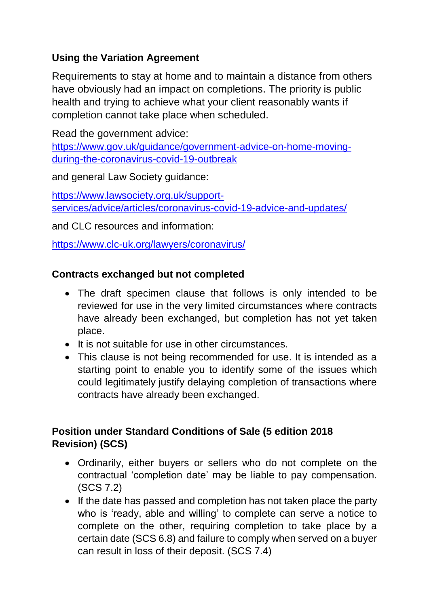# **Using the Variation Agreement**

Requirements to stay at home and to maintain a distance from others have obviously had an impact on completions. The priority is public health and trying to achieve what your client reasonably wants if completion cannot take place when scheduled.

Read the government advice:

[https://www.gov.uk/guidance/government-advice-on-home-moving](https://www.gov.uk/guidance/government-advice-on-home-moving-during-the-coronavirus-covid-19-outbreak)[during-the-coronavirus-covid-19-outbreak](https://www.gov.uk/guidance/government-advice-on-home-moving-during-the-coronavirus-covid-19-outbreak)

and general Law Society guidance:

[https://www.lawsociety.org.uk/support](https://www.lawsociety.org.uk/support-services/advice/articles/coronavirus-covid-19-advice-and-updates/)[services/advice/articles/coronavirus-covid-19-advice-and-updates/](https://www.lawsociety.org.uk/support-services/advice/articles/coronavirus-covid-19-advice-and-updates/)

and CLC resources and information:

<https://www.clc-uk.org/lawyers/coronavirus/>

## **Contracts exchanged but not completed**

- The draft specimen clause that follows is only intended to be reviewed for use in the very limited circumstances where contracts have already been exchanged, but completion has not yet taken place.
- It is not suitable for use in other circumstances.
- This clause is not being recommended for use. It is intended as a starting point to enable you to identify some of the issues which could legitimately justify delaying completion of transactions where contracts have already been exchanged.

# **Position under Standard Conditions of Sale (5 edition 2018 Revision) (SCS)**

- Ordinarily, either buyers or sellers who do not complete on the contractual 'completion date' may be liable to pay compensation. (SCS 7.2)
- If the date has passed and completion has not taken place the party who is 'ready, able and willing' to complete can serve a notice to complete on the other, requiring completion to take place by a certain date (SCS 6.8) and failure to comply when served on a buyer can result in loss of their deposit. (SCS 7.4)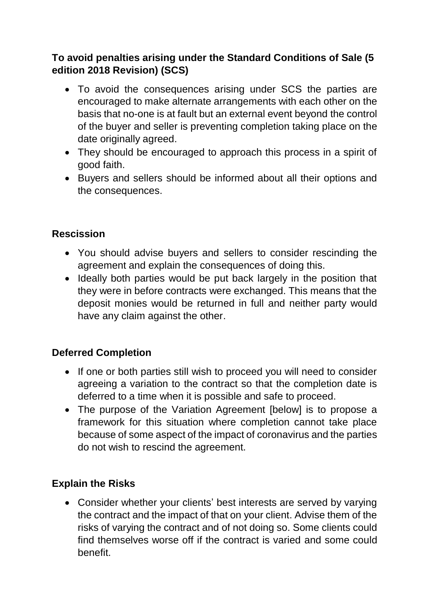# **To avoid penalties arising under the Standard Conditions of Sale (5 edition 2018 Revision) (SCS)**

- To avoid the consequences arising under SCS the parties are encouraged to make alternate arrangements with each other on the basis that no-one is at fault but an external event beyond the control of the buyer and seller is preventing completion taking place on the date originally agreed.
- They should be encouraged to approach this process in a spirit of good faith.
- Buyers and sellers should be informed about all their options and the consequences.

# **Rescission**

- You should advise buyers and sellers to consider rescinding the agreement and explain the consequences of doing this.
- Ideally both parties would be put back largely in the position that they were in before contracts were exchanged. This means that the deposit monies would be returned in full and neither party would have any claim against the other.

## **Deferred Completion**

- If one or both parties still wish to proceed you will need to consider agreeing a variation to the contract so that the completion date is deferred to a time when it is possible and safe to proceed.
- The purpose of the Variation Agreement [below] is to propose a framework for this situation where completion cannot take place because of some aspect of the impact of coronavirus and the parties do not wish to rescind the agreement.

## **Explain the Risks**

• Consider whether your clients' best interests are served by varying the contract and the impact of that on your client. Advise them of the risks of varying the contract and of not doing so. Some clients could find themselves worse off if the contract is varied and some could benefit.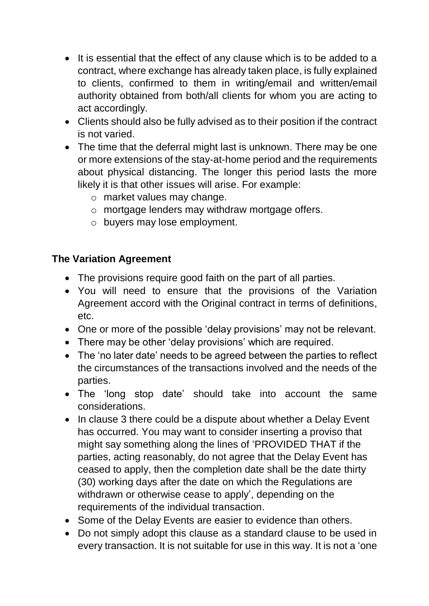- It is essential that the effect of any clause which is to be added to a contract, where exchange has already taken place, is fully explained to clients, confirmed to them in writing/email and written/email authority obtained from both/all clients for whom you are acting to act accordingly.
- Clients should also be fully advised as to their position if the contract is not varied.
- The time that the deferral might last is unknown. There may be one or more extensions of the stay-at-home period and the requirements about physical distancing. The longer this period lasts the more likely it is that other issues will arise. For example:
	- o market values may change.
	- o mortgage lenders may withdraw mortgage offers.
	- o buyers may lose employment.

# **The Variation Agreement**

- The provisions require good faith on the part of all parties.
- You will need to ensure that the provisions of the Variation Agreement accord with the Original contract in terms of definitions, etc.
- One or more of the possible 'delay provisions' may not be relevant.
- There may be other 'delay provisions' which are required.
- The 'no later date' needs to be agreed between the parties to reflect the circumstances of the transactions involved and the needs of the parties.
- The 'long stop date' should take into account the same considerations.
- In clause 3 there could be a dispute about whether a Delay Event has occurred. You may want to consider inserting a proviso that might say something along the lines of 'PROVIDED THAT if the parties, acting reasonably, do not agree that the Delay Event has ceased to apply, then the completion date shall be the date thirty (30) working days after the date on which the Regulations are withdrawn or otherwise cease to apply', depending on the requirements of the individual transaction.
- Some of the Delay Events are easier to evidence than others.
- Do not simply adopt this clause as a standard clause to be used in every transaction. It is not suitable for use in this way. It is not a 'one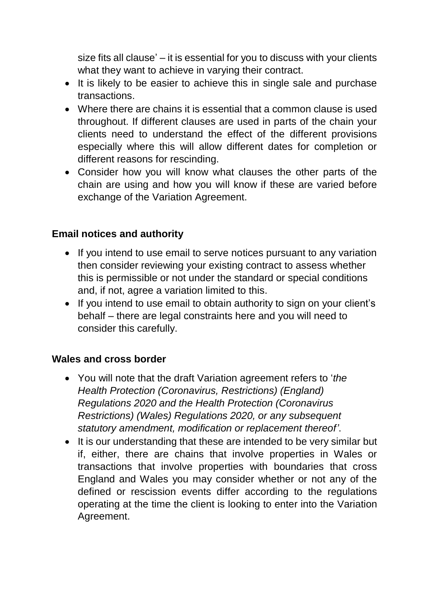size fits all clause' – it is essential for you to discuss with your clients what they want to achieve in varying their contract.

- It is likely to be easier to achieve this in single sale and purchase transactions.
- Where there are chains it is essential that a common clause is used throughout. If different clauses are used in parts of the chain your clients need to understand the effect of the different provisions especially where this will allow different dates for completion or different reasons for rescinding.
- Consider how you will know what clauses the other parts of the chain are using and how you will know if these are varied before exchange of the Variation Agreement.

#### **Email notices and authority**

- If you intend to use email to serve notices pursuant to any variation then consider reviewing your existing contract to assess whether this is permissible or not under the standard or special conditions and, if not, agree a variation limited to this.
- If you intend to use email to obtain authority to sign on your client's behalf – there are legal constraints here and you will need to consider this carefully.

#### **Wales and cross border**

- You will note that the draft Variation agreement refers to '*the Health Protection (Coronavirus, Restrictions) (England) Regulations 2020 and the Health Protection (Coronavirus Restrictions) (Wales) Regulations 2020, or any subsequent statutory amendment, modification or replacement thereof'*.
- It is our understanding that these are intended to be very similar but if, either, there are chains that involve properties in Wales or transactions that involve properties with boundaries that cross England and Wales you may consider whether or not any of the defined or rescission events differ according to the regulations operating at the time the client is looking to enter into the Variation Agreement.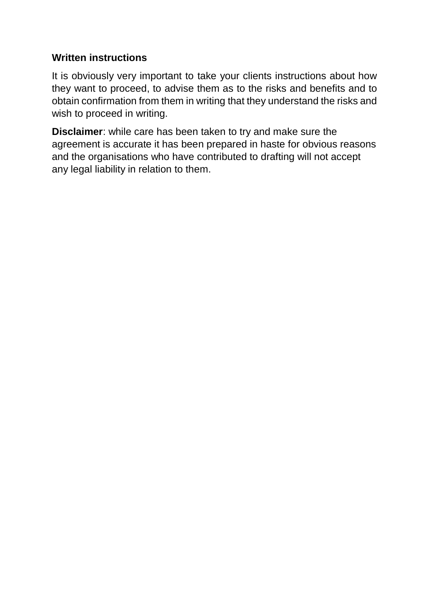#### **Written instructions**

It is obviously very important to take your clients instructions about how they want to proceed, to advise them as to the risks and benefits and to obtain confirmation from them in writing that they understand the risks and wish to proceed in writing.

**Disclaimer**: while care has been taken to try and make sure the agreement is accurate it has been prepared in haste for obvious reasons and the organisations who have contributed to drafting will not accept any legal liability in relation to them.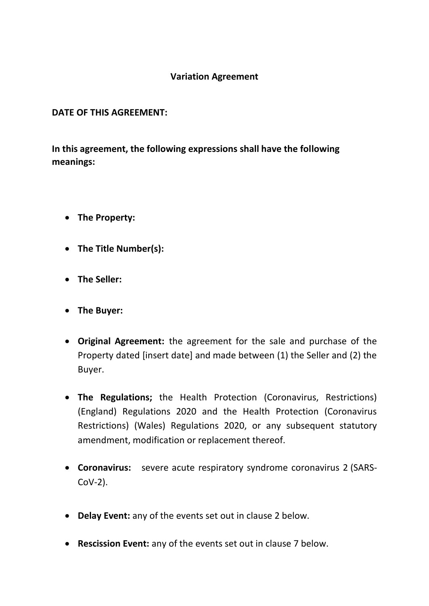#### **Variation Agreement**

#### **DATE OF THIS AGREEMENT:**

**In this agreement, the following expressions shall have the following meanings:**

- **The Property:**
- **The Title Number(s):**
- **The Seller:**
- **The Buyer:**
- **Original Agreement:** the agreement for the sale and purchase of the Property dated [insert date] and made between (1) the Seller and (2) the Buyer.
- **The Regulations;** the Health Protection (Coronavirus, Restrictions) (England) Regulations 2020 and the Health Protection (Coronavirus Restrictions) (Wales) Regulations 2020, or any subsequent statutory amendment, modification or replacement thereof.
- **Coronavirus:** severe acute respiratory syndrome coronavirus 2 (SARS-CoV-2).
- **Delay Event:** any of the events set out in clause 2 below.
- **Rescission Event:** any of the events set out in clause 7 below.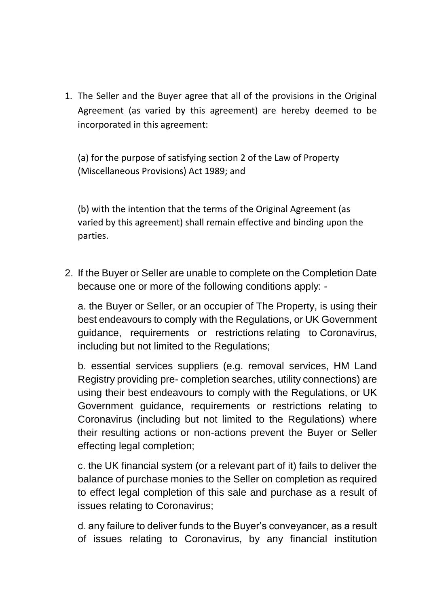1. The Seller and the Buyer agree that all of the provisions in the Original Agreement (as varied by this agreement) are hereby deemed to be incorporated in this agreement:

(a) for the purpose of satisfying section 2 of the Law of Property (Miscellaneous Provisions) Act 1989; and

(b) with the intention that the terms of the Original Agreement (as varied by this agreement) shall remain effective and binding upon the parties.

2. If the Buyer or Seller are unable to complete on the Completion Date because one or more of the following conditions apply: -

a. the Buyer or Seller, or an occupier of The Property, is using their best endeavours to comply with the Regulations, or UK Government guidance, requirements or restrictions relating to Coronavirus, including but not limited to the Regulations;

b. essential services suppliers (e.g. removal services, HM Land Registry providing pre- completion searches, utility connections) are using their best endeavours to comply with the Regulations, or UK Government guidance, requirements or restrictions relating to Coronavirus (including but not limited to the Regulations) where their resulting actions or non-actions prevent the Buyer or Seller effecting legal completion;

c. the UK financial system (or a relevant part of it) fails to deliver the balance of purchase monies to the Seller on completion as required to effect legal completion of this sale and purchase as a result of issues relating to Coronavirus;

d. any failure to deliver funds to the Buyer's conveyancer, as a result of issues relating to Coronavirus, by any financial institution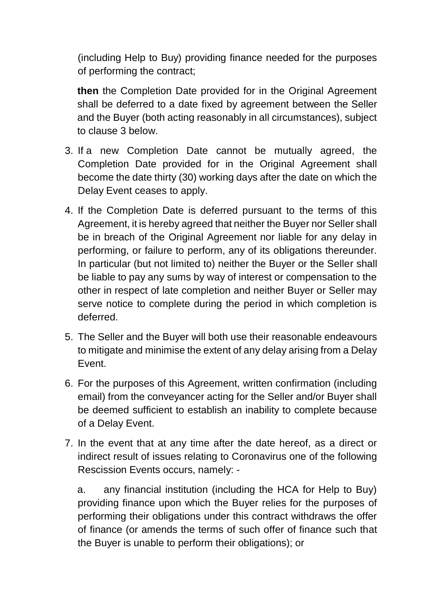(including Help to Buy) providing finance needed for the purposes of performing the contract;

**then** the Completion Date provided for in the Original Agreement shall be deferred to a date fixed by agreement between the Seller and the Buyer (both acting reasonably in all circumstances), subject to clause 3 below.

- 3. If a new Completion Date cannot be mutually agreed, the Completion Date provided for in the Original Agreement shall become the date thirty (30) working days after the date on which the Delay Event ceases to apply.
- 4. If the Completion Date is deferred pursuant to the terms of this Agreement, it is hereby agreed that neither the Buyer nor Seller shall be in breach of the Original Agreement nor liable for any delay in performing, or failure to perform, any of its obligations thereunder. In particular (but not limited to) neither the Buyer or the Seller shall be liable to pay any sums by way of interest or compensation to the other in respect of late completion and neither Buyer or Seller may serve notice to complete during the period in which completion is deferred.
- 5. The Seller and the Buyer will both use their reasonable endeavours to mitigate and minimise the extent of any delay arising from a Delay Event.
- 6. For the purposes of this Agreement, written confirmation (including email) from the conveyancer acting for the Seller and/or Buyer shall be deemed sufficient to establish an inability to complete because of a Delay Event.
- 7. In the event that at any time after the date hereof, as a direct or indirect result of issues relating to Coronavirus one of the following Rescission Events occurs, namely: -

a. any financial institution (including the HCA for Help to Buy) providing finance upon which the Buyer relies for the purposes of performing their obligations under this contract withdraws the offer of finance (or amends the terms of such offer of finance such that the Buyer is unable to perform their obligations); or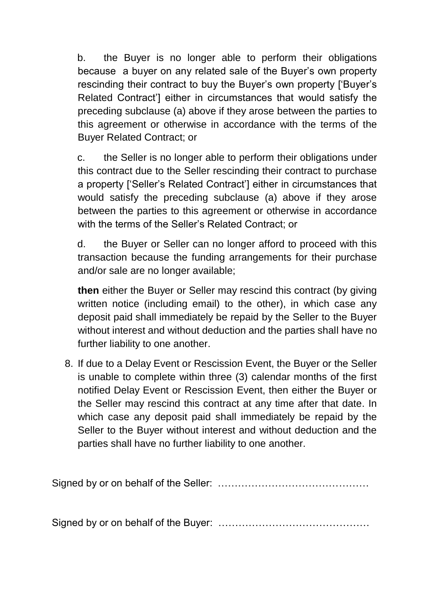b. the Buyer is no longer able to perform their obligations because a buyer on any related sale of the Buyer's own property rescinding their contract to buy the Buyer's own property ['Buyer's Related Contract'] either in circumstances that would satisfy the preceding subclause (a) above if they arose between the parties to this agreement or otherwise in accordance with the terms of the Buyer Related Contract; or

c. the Seller is no longer able to perform their obligations under this contract due to the Seller rescinding their contract to purchase a property ['Seller's Related Contract'] either in circumstances that would satisfy the preceding subclause (a) above if they arose between the parties to this agreement or otherwise in accordance with the terms of the Seller's Related Contract; or

d. the Buyer or Seller can no longer afford to proceed with this transaction because the funding arrangements for their purchase and/or sale are no longer available;

**then** either the Buyer or Seller may rescind this contract (by giving written notice (including email) to the other), in which case any deposit paid shall immediately be repaid by the Seller to the Buyer without interest and without deduction and the parties shall have no further liability to one another.

8. If due to a Delay Event or Rescission Event, the Buyer or the Seller is unable to complete within three (3) calendar months of the first notified Delay Event or Rescission Event, then either the Buyer or the Seller may rescind this contract at any time after that date. In which case any deposit paid shall immediately be repaid by the Seller to the Buyer without interest and without deduction and the parties shall have no further liability to one another.

Signed by or on behalf of the Seller: ………………………………………

Signed by or on behalf of the Buyer: ………………………………………